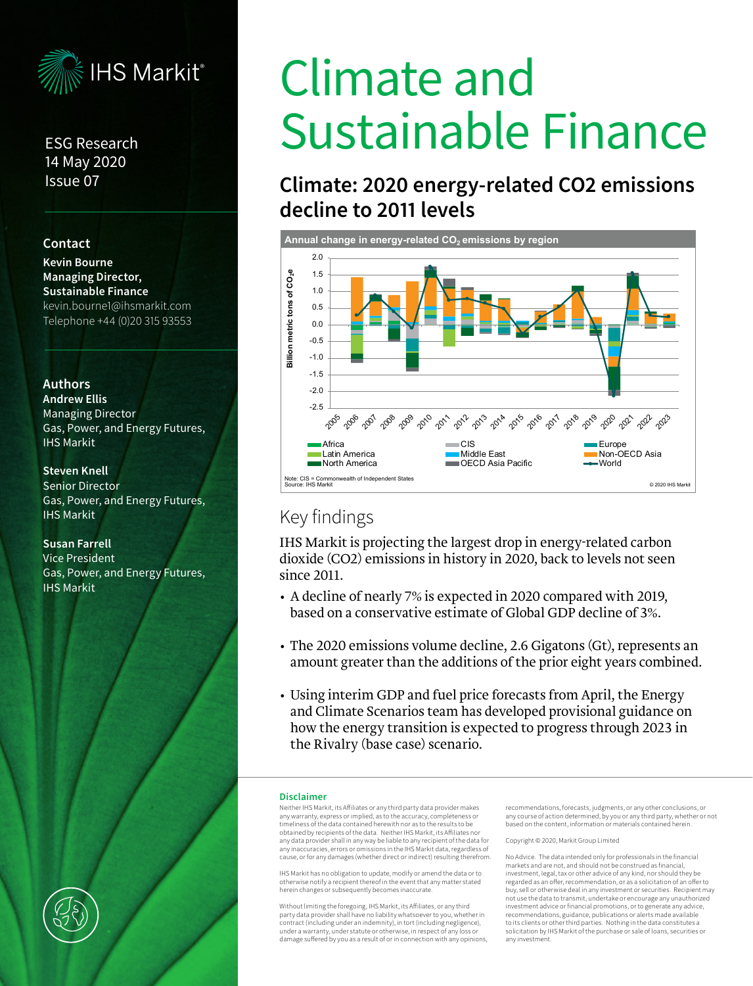

## ESG Research 14 May 2020 Issue 07

## **Contact**

**Kevin Bourne Managing Director, Sustainable Finance** kevin.bourne1@ihsmarkit.com Telephone +44 (0)20 315 93553

### **Authors**

**Andrew Ellis**  Managing Director Gas, Power, and Energy Futures, IHS Markit

#### **Steven Knell**

Senior Director Gas, Power, and Energy Futures, IHS Markit

**Susan Farrell**  Vice President Gas, Power, and Energy Futures, IHS Markit

# Climate and Sustainable Finance

# **Climate: 2020 energy-related CO2 emissions decline to 2011 levels**



# Key findings

IHS Markit is projecting the largest drop in energy-related carbon dioxide (CO2) emissions in history in 2020, back to levels not seen since 2011.

- A decline of nearly 7% is expected in 2020 compared with 2019, based on a conservative estimate of Global GDP decline of 3%.
- The 2020 emissions volume decline, 2.6 Gigatons (Gt), represents an amount greater than the additions of the prior eight years combined.
- Using interim GDP and fuel price forecasts from April, the Energy and Climate Scenarios team has developed provisional guidance on how the energy transition is expected to progress through 2023 in the Rivalry (base case) scenario.

#### **Disclaimer**

Neither IHS Markit, its Affiliates or any third party data provider makes any warranty, express or implied, as to the accuracy, completeness or timeliness of the data contained herewith nor as to the results to be obtained by recipients of the data. Neither IHS Markit, its Affiliates no any data provider shall in any way be liable to any recipient of the data for any inaccuracies, errors or omissions in the IHS Markit data, regardless of cause, or for any damages (whether direct or indirect) resulting therefrom.

IHS Markit has no obligation to update, modify or amend the data or to otherwise notify a recipient thereof in the event that any matter stated herein changes or subsequently becomes inaccurate.

Without limiting the foregoing, IHS Markit, its Affiliates, or any third party data provider shall have no liability whatsoever to you, whether in contract (including under an indemnity), in tort (including negligence), under a warranty, under statute or otherwise, in respect of any loss or damage suffered by you as a result of or in connection with any opinions,

recommendations, forecasts, judgments, or any other conclusions, or any course of action determined, by you or any third party, whether or not based on the content, information or materials contained herein.

Copyright © 2020, Markit Group Limited

No Advice. The data intended only for professionals in the financial markets and are not, and should not be construed as financial, investment, legal, tax or other advice of any kind, nor should they be regarded as an offer, recommendation, or as a solicitation of an offer to buy, sell or otherwise deal in any investment or securities. Recipient may not use the data to transmit, undertake or encourage any unauthorized investment advice or financial promotions, or to generate any advice, recommendations, guidance, publications or alerts made available to its clients or other third parties. Nothing in the data constitutes a solicitation by IHS Markit of the purchase or sale of loans, securities or any investment.

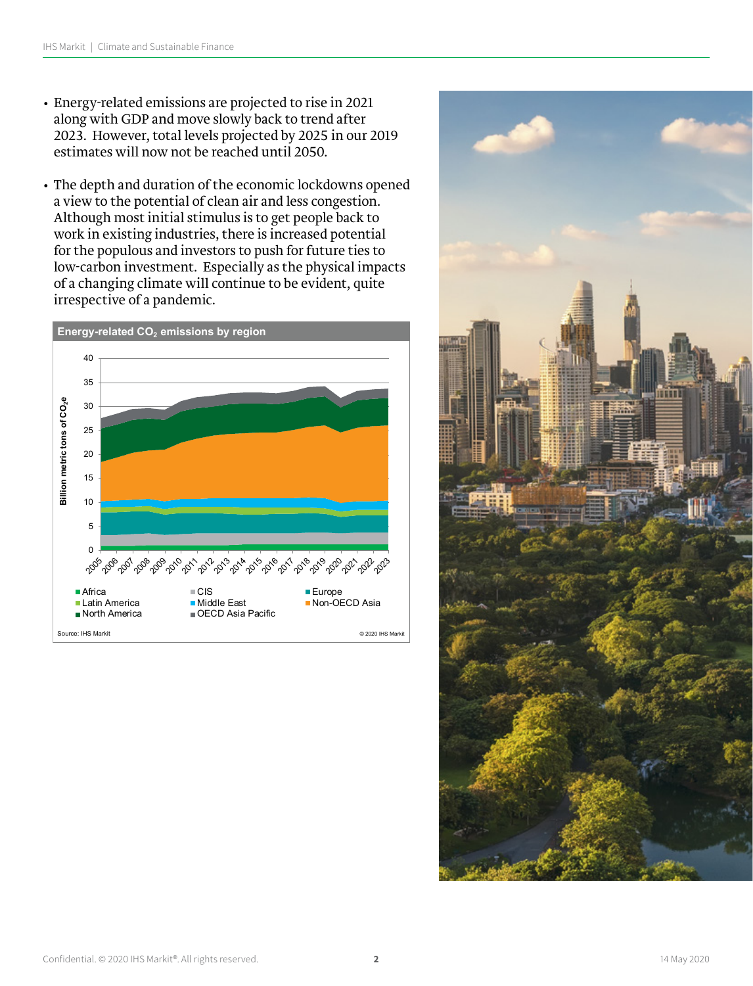- Energy-related emissions are projected to rise in 2021 along with GDP and move slowly back to trend after 2023. However, total levels projected by 2025 in our 2019 estimates will now not be reached until 2050.
- The depth and duration of the economic lockdowns opened a view to the potential of clean air and less congestion. Although most initial stimulus is to get people back to work in existing industries, there is increased potential for the populous and investors to push for future ties to low-carbon investment. Especially as the physical impacts of a changing climate will continue to be evident, quite irrespective of a pandemic.



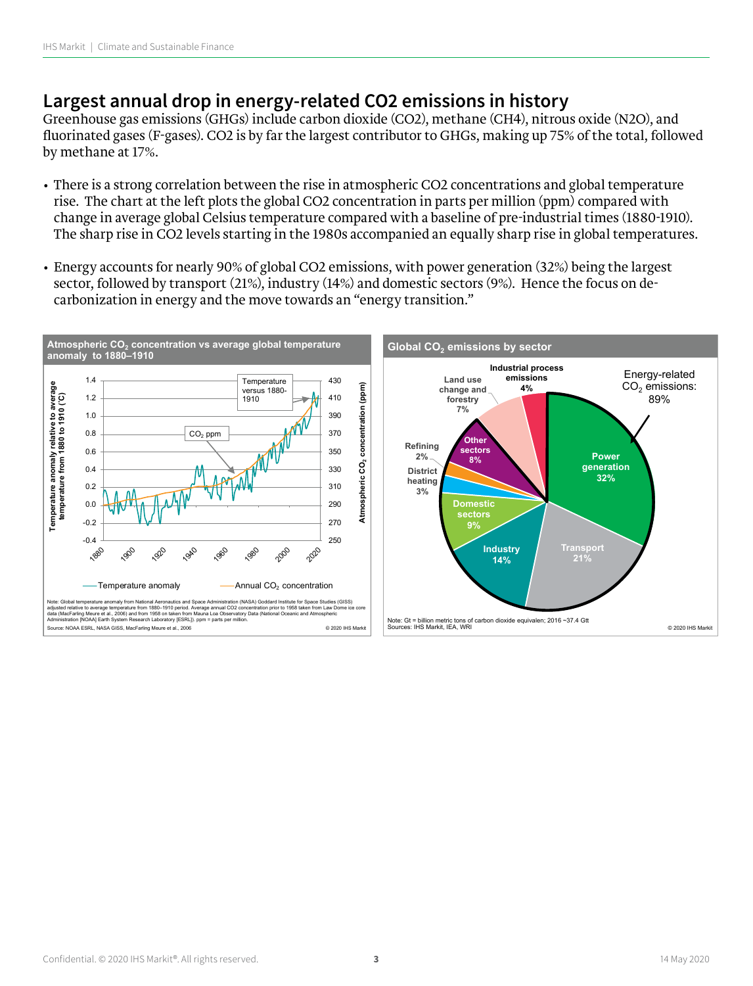# **Largest annual drop in energy-related CO2 emissions in history**

Greenhouse gas emissions (GHGs) include carbon dioxide (CO2), methane (CH4), nitrous oxide (N2O), and fluorinated gases (F-gases). CO2 is by far the largest contributor to GHGs, making up 75% of the total, followed by methane at 17%.

- There is a strong correlation between the rise in atmospheric CO2 concentrations and global temperature rise. The chart at the left plots the global CO2 concentration in parts per million (ppm) compared with change in average global Celsius temperature compared with a baseline of pre-industrial times (1880-1910). The sharp rise in CO2 levels starting in the 1980s accompanied an equally sharp rise in global temperatures.
- Energy accounts for nearly 90% of global CO2 emissions, with power generation (32%) being the largest sector, followed by transport (21%), industry (14%) and domestic sectors (9%). Hence the focus on decarbonization in energy and the move towards an "energy transition."

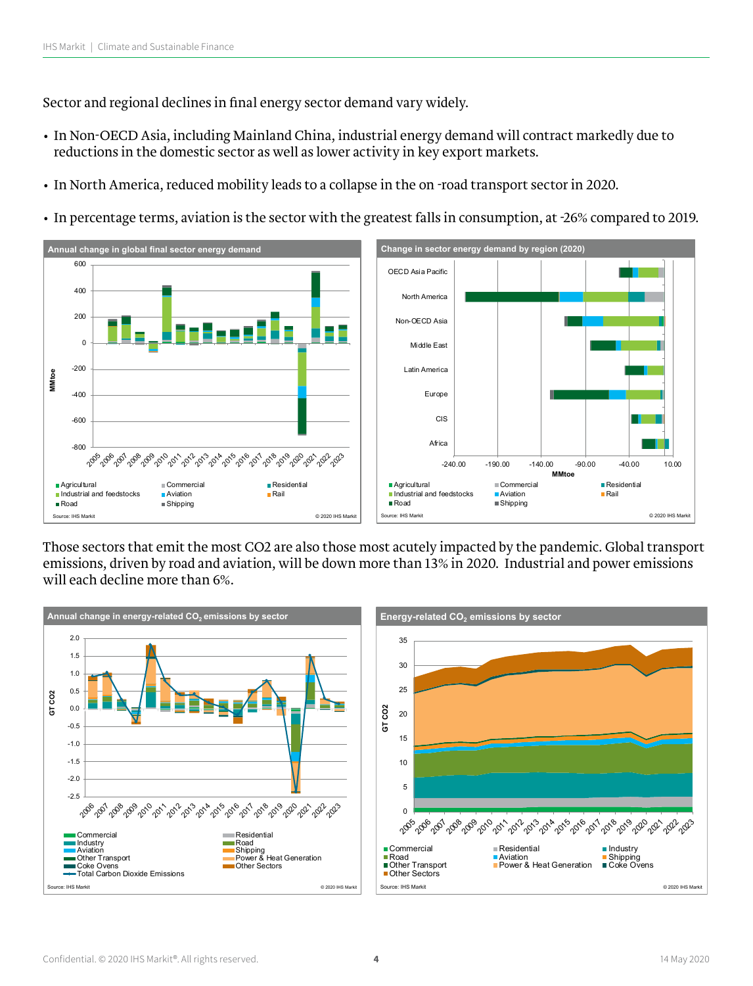Sector and regional declines in final energy sector demand vary widely.

- In Non-OECD Asia, including Mainland China, industrial energy demand will contract markedly due to reductions in the domestic sector as well as lower activity in key export markets.
- In North America, reduced mobility leads to a collapse in the on -road transport sector in 2020.
- In percentage terms, aviation is the sector with the greatest falls in consumption, at -26% compared to 2019.



Those sectors that emit the most CO2 are also those most acutely impacted by the pandemic. Global transport emissions, driven by road and aviation, will be down more than 13% in 2020. Industrial and power emissions will each decline more than 6%.

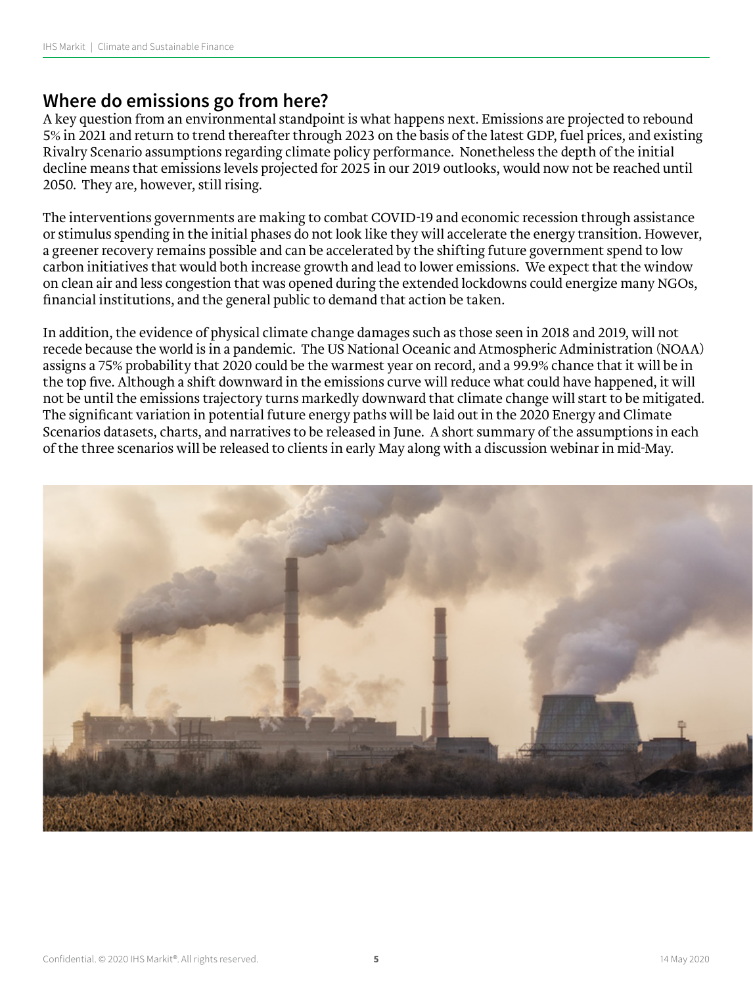# **Where do emissions go from here?**

A key question from an environmental standpoint is what happens next. Emissions are projected to rebound 5% in 2021 and return to trend thereafter through 2023 on the basis of the latest GDP, fuel prices, and existing Rivalry Scenario assumptions regarding climate policy performance. Nonetheless the depth of the initial decline means that emissions levels projected for 2025 in our 2019 outlooks, would now not be reached until 2050. They are, however, still rising.

The interventions governments are making to combat COVID-19 and economic recession through assistance or stimulus spending in the initial phases do not look like they will accelerate the energy transition. However, a greener recovery remains possible and can be accelerated by the shifting future government spend to low carbon initiatives that would both increase growth and lead to lower emissions. We expect that the window on clean air and less congestion that was opened during the extended lockdowns could energize many NGOs, financial institutions, and the general public to demand that action be taken.

In addition, the evidence of physical climate change damages such as those seen in 2018 and 2019, will not recede because the world is in a pandemic. The US National Oceanic and Atmospheric Administration (NOAA) assigns a 75% probability that 2020 could be the warmest year on record, and a 99.9% chance that it will be in the top five. Although a shift downward in the emissions curve will reduce what could have happened, it will not be until the emissions trajectory turns markedly downward that climate change will start to be mitigated. The significant variation in potential future energy paths will be laid out in the 2020 Energy and Climate Scenarios datasets, charts, and narratives to be released in June. A short summary of the assumptions in each of the three scenarios will be released to clients in early May along with a discussion webinar in mid-May.